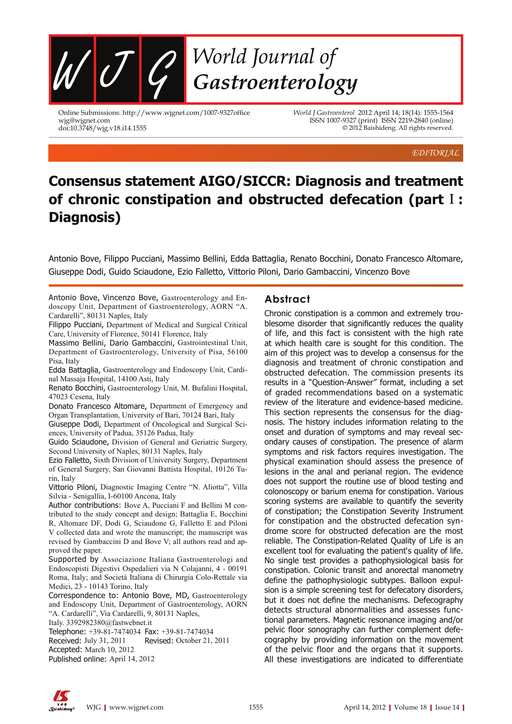

Online Submissions: http://www.wjgnet.com/1007-9327office wjg@wjgnet.com doi:10.3748/wjg.v18.i14.1555

*World J Gastroenterol* 2012 April 14; 18(14): 1555-1564 ISSN 1007-9327 (print) ISSN 2219-2840 (online) © 2012 Baishideng. All rights reserved.

EDITORIAL

# **Consensus statement AIGO/SICCR: Diagnosis and treatment of chronic constipation and obstructed defecation (part Ⅰ: Diagnosis)**

Antonio Bove, Filippo Pucciani, Massimo Bellini, Edda Battaglia, Renato Bocchini, Donato Francesco Altomare, Giuseppe Dodi, Guido Sciaudone, Ezio Falletto, Vittorio Piloni, Dario Gambaccini, Vincenzo Bove

Antonio Bove, Vincenzo Bove, Gastroenterology and Endoscopy Unit, Department of Gastroenterology, AORN "A. Cardarelli", 80131 Naples, Italy

Filippo Pucciani, Department of Medical and Surgical Critical Care, University of Florence, 50141 Florence, Italy

Massimo Bellini, Dario Gambaccini, Gastrointestinal Unit, Department of Gastroenterology, University of Pisa, 56100 Pisa, Italy

Edda Battaglia, Gastroenterology and Endoscopy Unit, Cardinal Massaja Hospital, 14100 Asti, Italy

Renato Bocchini, Gastroenterology Unit, M. Bufalini Hospital, 47023 Cesena, Italy

Donato Francesco Altomare, Department of Emergency and Organ Transplantation, University of Bari, 70124 Bari, Italy

Giuseppe Dodi, Department of Oncological and Surgical Sciences, University of Padua, 35126 Padua, Italy

Guido Sciaudone, Division of General and Geriatric Surgery, Second University of Naples, 80131 Naples, Italy

Ezio Falletto, Sixth Division of University Surgery, Department of General Surgery, San Giovanni Battista Hospital, 10126 Turin, Italy

Vittorio Piloni, Diagnostic Imaging Centre "N. Aliotta", Villa Silvia - Senigallia, I-60100 Ancona, Italy

Author contributions: Bove A, Pucciani F and Bellini M contributed to the study concept and design; Battaglia E, Bocchini R, Altomare DF, Dodi G, Sciaudone G, Falletto E and Piloni V collected data and wrote the manuscript; the manuscript was revised by Gambaccini D and Bove V; all authors read and approved the paper.

Supported by Associazione Italiana Gastroenterologi and Endoscopisti Digestivi Ospedalieri via N Colajanni, 4 - 00191 Roma, Italy; and Società Italiana di Chirurgia Colo-Rettale via Medici, 23 - 10143 Torino, Italy

Correspondence to: Antonio Bove, MD, Gastroenterology and Endoscopy Unit, Department of Gastroenterology, AORN "A. Cardarelli", Via Cardarelli, 9, 80131 Naples,

Italy. 3392982380@fastwebnet.it

Telephone: +39-81-7474034 Fax: +39-81-7474034 Received: July 31, 2011 Revised: October 21, 2011 Accepted: March 10, 2012 Published online: April 14, 2012

### **Abstract**

Chronic constipation is a common and extremely troublesome disorder that significantly reduces the quality of life, and this fact is consistent with the high rate at which health care is sought for this condition. The aim of this project was to develop a consensus for the diagnosis and treatment of chronic constipation and obstructed defecation. The commission presents its results in a "Question-Answer" format, including a set of graded recommendations based on a systematic review of the literature and evidence-based medicine. This section represents the consensus for the diagnosis. The history includes information relating to the onset and duration of symptoms and may reveal secondary causes of constipation. The presence of alarm symptoms and risk factors requires investigation. The physical examination should assess the presence of lesions in the anal and perianal region. The evidence does not support the routine use of blood testing and colonoscopy or barium enema for constipation. Various scoring systems are available to quantify the severity of constipation; the Constipation Severity Instrument for constipation and the obstructed defecation syndrome score for obstructed defecation are the most reliable. The Constipation-Related Quality of Life is an excellent tool for evaluating the patient's quality of life. No single test provides a pathophysiological basis for constipation. Colonic transit and anorectal manometry define the pathophysiologic subtypes. Balloon expulsion is a simple screening test for defecatory disorders, but it does not define the mechanisms. Defecography detects structural abnormalities and assesses functional parameters. Magnetic resonance imaging and/or pelvic floor sonography can further complement defecography by providing information on the movement of the pelvic floor and the organs that it supports. All these investigations are indicated to differentiate

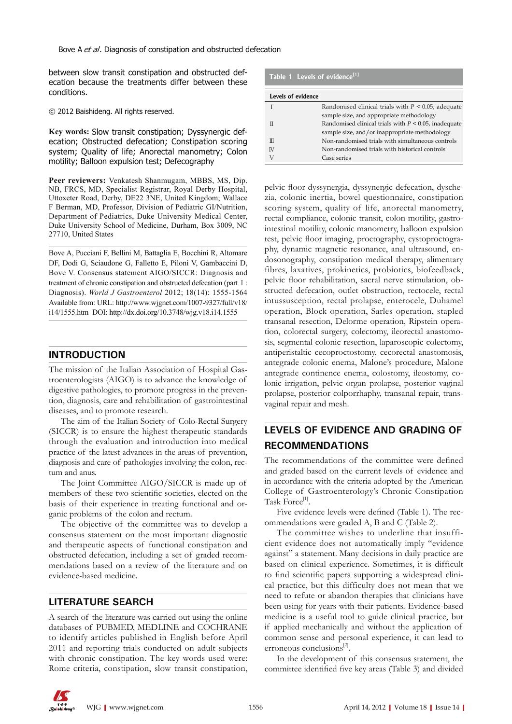between slow transit constipation and obstructed defecation because the treatments differ between these conditions.

© 2012 Baishideng. All rights reserved.

**Key words:** Slow transit constipation; Dyssynergic defecation; Obstructed defecation; Constipation scoring system; Quality of life; Anorectal manometry; Colon motility; Balloon expulsion test; Defecography

**Peer reviewers:** Venkatesh Shanmugam, MBBS, MS, Dip. NB, FRCS, MD, Specialist Registrar, Royal Derby Hospital, Uttoxeter Road, Derby, DE22 3NE, United Kingdom; Wallace F Berman, MD, Professor, Division of Pediatric GI/Nutrition, Department of Pediatrics, Duke University Medical Center, Duke University School of Medicine, Durham, Box 3009, NC 27710, United States

Bove A, Pucciani F, Bellini M, Battaglia E, Bocchini R, Altomare DF, Dodi G, Sciaudone G, Falletto E, Piloni V, Gambaccini D, Bove V. Consensus statement AIGO/SICCR: Diagnosis and treatment of chronic constipation and obstructed defecation (part 1: Diagnosis). *World J Gastroenterol* 2012; 18(14): 1555-1564 Available from: URL: http://www.wjgnet.com/1007-9327/full/v18/ i14/1555.htm DOI: http://dx.doi.org/10.3748/wjg.v18.i14.1555

### **INTRODUCTION**

The mission of the Italian Association of Hospital Gastroenterologists (AIGO) is to advance the knowledge of digestive pathologies, to promote progress in the prevention, diagnosis, care and rehabilitation of gastrointestinal diseases, and to promote research.

The aim of the Italian Society of Colo-Rectal Surgery (SICCR) is to ensure the highest therapeutic standards through the evaluation and introduction into medical practice of the latest advances in the areas of prevention, diagnosis and care of pathologies involving the colon, rectum and anus.

The Joint Committee AIGO/SICCR is made up of members of these two scientific societies, elected on the basis of their experience in treating functional and organic problems of the colon and rectum.

The objective of the committee was to develop a consensus statement on the most important diagnostic and therapeutic aspects of functional constipation and obstructed defecation, including a set of graded recommendations based on a review of the literature and on evidence-based medicine.

### **LITERATURE SEARCH**

A search of the literature was carried out using the online databases of PUBMED, MEDLINE and COCHRANE to identify articles published in English before April 2011 and reporting trials conducted on adult subjects with chronic constipation. The key words used were: Rome criteria, constipation, slow transit constipation,

#### **Table 1 Levels of evidence[1]**

| Levels of evidence |                                                          |
|--------------------|----------------------------------------------------------|
|                    | Randomised clinical trials with $P \leq 0.05$ , adequate |
|                    | sample size, and appropriate methodology                 |
|                    | Randomised clinical trials with $P < 0.05$ , inadequate  |
|                    | sample size, and/or inappropriate methodology            |
| $\mathbb{H}$       | Non-randomised trials with simultaneous controls         |
| <b>IV</b>          | Non-randomised trials with historical controls           |
| V                  | Case series                                              |

pelvic floor dyssynergia, dyssynergic defecation, dyschezia, colonic inertia, bowel questionnaire, constipation scoring system, quality of life, anorectal manometry, rectal compliance, colonic transit, colon motility, gastrointestinal motility, colonic manometry, balloon expulsion test, pelvic floor imaging, proctography, cystoproctography, dynamic magnetic resonance, anal ultrasound, endosonography, constipation medical therapy, alimentary fibres, laxatives, prokinetics, probiotics, biofeedback, pelvic floor rehabilitation, sacral nerve stimulation, obstructed defecation, outlet obstruction, rectocele, rectal intussusception, rectal prolapse, enterocele, Duhamel operation, Block operation, Sarles operation, stapled transanal resection, Delorme operation, Ripstein operation, colorectal surgery, colectomy, ileorectal anastomosis, segmental colonic resection, laparoscopic colectomy, antiperistaltic cecoproctostomy, cecorectal anastomosis, antegrade colonic enema, Malone's procedure, Malone antegrade continence enema, colostomy, ileostomy, colonic irrigation, pelvic organ prolapse, posterior vaginal prolapse, posterior colporrhaphy, transanal repair, transvaginal repair and mesh.

## **LEVELS OF EVIDENCE AND GRADING OF RECOMMENDATIONS**

The recommendations of the committee were defined and graded based on the current levels of evidence and in accordance with the criteria adopted by the American College of Gastroenterology's Chronic Constipation Task Force<sup>[1]</sup>.

Five evidence levels were defined (Table 1). The recommendations were graded A, B and C (Table 2).

The committee wishes to underline that insufficient evidence does not automatically imply "evidence against" a statement. Many decisions in daily practice are based on clinical experience. Sometimes, it is difficult to find scientific papers supporting a widespread clinical practice, but this difficulty does not mean that we need to refute or abandon therapies that clinicians have been using for years with their patients. Evidence-based medicine is a useful tool to guide clinical practice, but if applied mechanically and without the application of common sense and personal experience, it can lead to erroneous conclusions<sup>[2]</sup>.

In the development of this consensus statement, the committee identified five key areas (Table 3) and divided

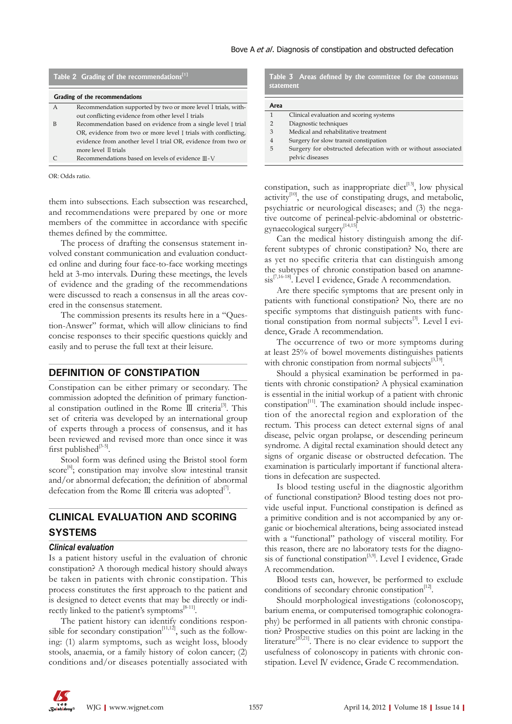| Table 2 Grading of the recommendations <sup>[1]</sup> |                                                                |  |  |
|-------------------------------------------------------|----------------------------------------------------------------|--|--|
| Grading of the recommendations                        |                                                                |  |  |
| A                                                     | Recommendation supported by two or more level I trials, with-  |  |  |
|                                                       | out conflicting evidence from other level I trials             |  |  |
| в                                                     | Recommendation based on evidence from a single level I trial   |  |  |
|                                                       | OR, evidence from two or more level I trials with conflicting, |  |  |
|                                                       | evidence from another level I trial OR, evidence from two or   |  |  |
|                                                       | more level II trials                                           |  |  |
|                                                       | Recommendations based on levels of evidence Ⅲ-V                |  |  |

OR: Odds ratio.

them into subsections. Each subsection was researched, and recommendations were prepared by one or more members of the committee in accordance with specific themes defined by the committee.

The process of drafting the consensus statement involved constant communication and evaluation conducted online and during four face-to-face working meetings held at 3-mo intervals. During these meetings, the levels of evidence and the grading of the recommendations were discussed to reach a consensus in all the areas covered in the consensus statement.

The commission presents its results here in a "Question-Answer" format, which will allow clinicians to find concise responses to their specific questions quickly and easily and to peruse the full text at their leisure.

#### **DEFINITION OF CONSTIPATION**

Constipation can be either primary or secondary. The commission adopted the definition of primary functional constipation outlined in the Rome  $\mathbb{II}$  criteria<sup>[3]</sup>. This set of criteria was developed by an international group of experts through a process of consensus, and it has been reviewed and revised more than once since it was first published $^{[3-5]}$ .

Stool form was defined using the Bristol stool form score<sup>[6]</sup>; constipation may involve slow intestinal transit and/or abnormal defecation; the definition of abnormal defecation from the Rome  $III$  criteria was adopted<sup>[7]</sup>.

# **CLINICAL EVALUATION AND SCORING SYSTEMS**

#### *Clinical evaluation*

Is a patient history useful in the evaluation of chronic constipation? A thorough medical history should always be taken in patients with chronic constipation. This process constitutes the first approach to the patient and is designed to detect events that may be directly or indirectly linked to the patient's symptoms<sup>[8-11]</sup>.

The patient history can identify conditions responsible for secondary constipation<sup>[11,12]</sup>, such as the following: (1) alarm symptoms, such as weight loss, bloody stools, anaemia, or a family history of colon cancer; (2) conditions and/or diseases potentially associated with

Table 3 Areas defined by the committee for the consensus **statement**

#### **Area**

- 1 Clinical evaluation and scoring systems
- 2 Diagnostic techniques
- 3 Medical and rehabilitative treatment 4 Surgery for slow transit constipation
- 5 Surgery for obstructed defecation with or without associated
- pelvic diseases

constipation, such as inappropriate diet $^{[13]}$ , low physical activity<sup>[10]</sup>, the use of constipating drugs, and metabolic, psychiatric or neurological diseases; and (3) the negative outcome of perineal-pelvic-abdominal or obstetricgynaecological surgery<sup>[14,15]</sup> .

Can the medical history distinguish among the different subtypes of chronic constipation? No, there are as yet no specific criteria that can distinguish among the subtypes of chronic constipation based on anamnesis<sup>[7,16-18]</sup>. Level I evidence, Grade A recommendation.

Are there specific symptoms that are present only in patients with functional constipation? No, there are no specific symptoms that distinguish patients with functional constipation from normal subjects<sup>[3]</sup>. Level I evidence, Grade A recommendation.

The occurrence of two or more symptoms during at least 25% of bowel movements distinguishes patients with chronic constipation from normal subjects<sup>[3,19]</sup>.

Should a physical examination be performed in patients with chronic constipation? A physical examination is essential in the initial workup of a patient with chronic constipation $[11]$ . The examination should include inspection of the anorectal region and exploration of the rectum. This process can detect external signs of anal disease, pelvic organ prolapse, or descending perineum syndrome. A digital rectal examination should detect any signs of organic disease or obstructed defecation. The examination is particularly important if functional alterations in defecation are suspected.

Is blood testing useful in the diagnostic algorithm of functional constipation? Blood testing does not provide useful input. Functional constipation is defined as a primitive condition and is not accompanied by any organic or biochemical alterations, being associated instead with a "functional" pathology of visceral motility. For this reason, there are no laboratory tests for the diagnosis of functional constipation<sup>[3,9]</sup>. Level I evidence, Grade A recommendation.

Blood tests can, however, be performed to exclude conditions of secondary chronic constipation<sup>[12]</sup>.

Should morphological investigations (colonoscopy, barium enema, or computerised tomographic colonography) be performed in all patients with chronic constipation? Prospective studies on this point are lacking in the literature<sup>[20,21]</sup>. There is no clear evidence to support the usefulness of colonoscopy in patients with chronic constipation. Level Ⅳ evidence, Grade C recommendation.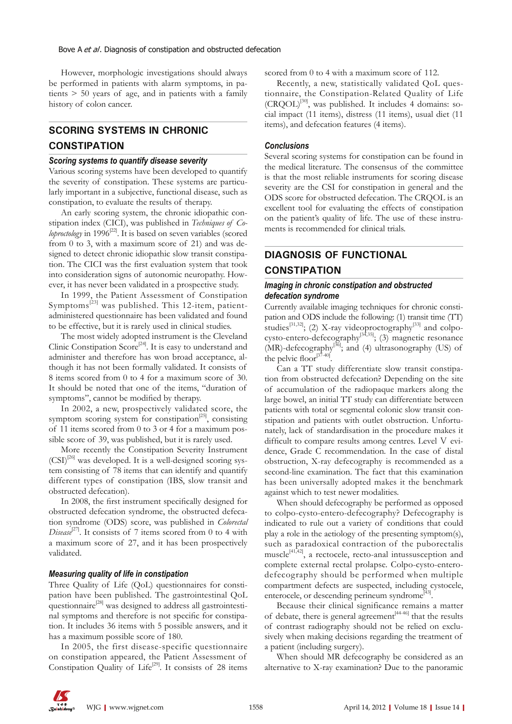However, morphologic investigations should always be performed in patients with alarm symptoms, in patients > 50 years of age, and in patients with a family history of colon cancer.

# **SCORING SYSTEMS IN CHRONIC CONSTIPATION**

#### *Scoring systems to quantify disease severity*

Various scoring systems have been developed to quantify the severity of constipation. These systems are particularly important in a subjective, functional disease, such as constipation, to evaluate the results of therapy.

An early scoring system, the chronic idiopathic constipation index (CICI), was published in *Techniques of Coloproctology* in 1996<sup>[22]</sup>. It is based on seven variables (scored from 0 to 3, with a maximum score of 21) and was designed to detect chronic idiopathic slow transit constipation. The CICI was the first evaluation system that took into consideration signs of autonomic neuropathy. However, it has never been validated in a prospective study.

In 1999, the Patient Assessment of Constipation Symptoms $^{[23]}$  was published. This 12-item, patientadministered questionnaire has been validated and found to be effective, but it is rarely used in clinical studies.

The most widely adopted instrument is the Cleveland Clinic Constipation  $Score^{[24]}$ . It is easy to understand and administer and therefore has won broad acceptance, although it has not been formally validated. It consists of 8 items scored from 0 to 4 for a maximum score of 30. It should be noted that one of the items, "duration of symptoms", cannot be modified by therapy.

In 2002, a new, prospectively validated score, the symptom scoring system for constipation<sup>[25]</sup>, consisting of 11 items scored from 0 to 3 or 4 for a maximum possible score of 39, was published, but it is rarely used.

More recently the Constipation Severity Instrument  $(CSI)^{[26]}$  was developed. It is a well-designed scoring system consisting of 78 items that can identify and quantify different types of constipation (IBS, slow transit and obstructed defecation).

In 2008, the first instrument specifically designed for obstructed defecation syndrome, the obstructed defecation syndrome (ODS) score, was published in *Colorectal Disease*<sup>[27]</sup>. It consists of 7 items scored from 0 to 4 with a maximum score of 27, and it has been prospectively validated.

#### *Measuring quality of life in constipation*

Three Quality of Life (QoL) questionnaires for constipation have been published. The gastrointestinal QoL questionnaire<sup>[28]</sup> was designed to address all gastrointestinal symptoms and therefore is not specific for constipation. It includes 36 items with 5 possible answers, and it has a maximum possible score of 180.

In 2005, the first disease-specific questionnaire on constipation appeared, the Patient Assessment of Constipation Quality of Life<sup>[29]</sup>. It consists of 28 items scored from 0 to 4 with a maximum score of 112.

Recently, a new, statistically validated QoL questionnaire, the Constipation-Related Quality of Life (CRQOL)[30], was published. It includes 4 domains: social impact (11 items), distress (11 items), usual diet (11 items), and defecation features (4 items).

#### *Conclusions*

Several scoring systems for constipation can be found in the medical literature. The consensus of the committee is that the most reliable instruments for scoring disease severity are the CSI for constipation in general and the ODS score for obstructed defecation. The CRQOL is an excellent tool for evaluating the effects of constipation on the patient's quality of life. The use of these instruments is recommended for clinical trials.

# **DIAGNOSIS OF FUNCTIONAL CONSTIPATION**

### *Imaging in chronic constipation and obstructed defecation syndrome*

Currently available imaging techniques for chronic constipation and ODS include the following: (1) transit time (TT) studies<sup>[31,32]</sup>; (2) X-ray videoproctography<sup>[33]</sup> and colpocysto-entero-defecography<sup>[34,35]</sup>; (3) magnetic resonance (MR)-defecography<sup>[36]</sup>; and (4) ultrasonography (US) of the pelvic floor $\mathbb{R}^3$ .

Can a TT study differentiate slow transit constipation from obstructed defecation? Depending on the site of accumulation of the radiopaque markers along the large bowel, an initial TT study can differentiate between patients with total or segmental colonic slow transit constipation and patients with outlet obstruction. Unfortunately, lack of standardisation in the procedure makes it difficult to compare results among centres. Level V evidence, Grade C recommendation*.* In the case of distal obstruction, X-ray defecography is recommended as a second-line examination. The fact that this examination has been universally adopted makes it the benchmark against which to test newer modalities.

When should defecography be performed as opposed to colpo-cysto-entero-defecography? Defecography is indicated to rule out a variety of conditions that could play a role in the aetiology of the presenting symptom(s), such as paradoxical contraction of the puborectalis muscle<sup>[41,42]</sup>, a rectocele, recto-anal intussusception and complete external rectal prolapse. Colpo-cysto-enterodefecography should be performed when multiple compartment defects are suspected, including cystocele, enterocele, or descending perineum syndrome<sup>[43]</sup> .

Because their clinical significance remains a matter of debate, there is general agreement<sup> $[44-46]$ </sup> that the results of contrast radiography should not be relied on exclusively when making decisions regarding the treatment of a patient (including surgery).

When should MR defecography be considered as an alternative to X-ray examination? Due to the panoramic

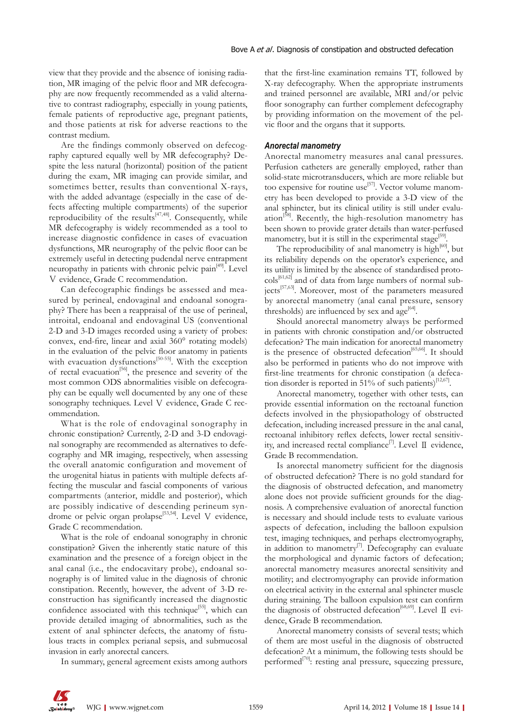view that they provide and the absence of ionising radiation, MR imaging of the pelvic floor and MR defecography are now frequently recommended as a valid alternative to contrast radiography, especially in young patients, female patients of reproductive age, pregnant patients, and those patients at risk for adverse reactions to the contrast medium.

Are the findings commonly observed on defecography captured equally well by MR defecography? Despite the less natural (horizontal) position of the patient during the exam, MR imaging can provide similar, and sometimes better, results than conventional X-rays, with the added advantage (especially in the case of defects affecting multiple compartments) of the superior reproducibility of the results $\int_{0}^{\frac{1}{2}(47,48)}$ . Consequently, while MR defecography is widely recommended as a tool to increase diagnostic confidence in cases of evacuation dysfunctions, MR neurography of the pelvic floor can be extremely useful in detecting pudendal nerve entrapment neuropathy in patients with chronic pelvic pain<sup>[49]</sup>. Level Ⅴ evidence, Grade C recommendation.

Can defecographic findings be assessed and measured by perineal, endovaginal and endoanal sonography? There has been a reappraisal of the use of perineal, introital, endoanal and endovaginal US (conventional 2-D and 3-D images recorded using a variety of probes: convex, end-fire, linear and axial 360° rotating models) in the evaluation of the pelvic floor anatomy in patients with evacuation dysfunctions<sup>[50-55]</sup>. With the exception of rectal evacuation<sup>[56]</sup>, the presence and severity of the most common ODS abnormalities visible on defecography can be equally well documented by any one of these sonography techniques. Level V evidence, Grade C recommendation.

What is the role of endovaginal sonography in chronic constipation? Currently, 2-D and 3-D endovaginal sonography are recommended as alternatives to defecography and MR imaging, respectively, when assessing the overall anatomic configuration and movement of the urogenital hiatus in patients with multiple defects affecting the muscular and fascial components of various compartments (anterior, middle and posterior), which are possibly indicative of descending perineum syndrome or pelvic organ prolapse<sup>[53,54]</sup>. Level V evidence, Grade C recommendation.

What is the role of endoanal sonography in chronic constipation? Given the inherently static nature of this examination and the presence of a foreign object in the anal canal (i.e., the endocavitary probe), endoanal sonography is of limited value in the diagnosis of chronic constipation. Recently, however, the advent of 3-D reconstruction has significantly increased the diagnostic confidence associated with this technique<sup>[55]</sup>, which can provide detailed imaging of abnormalities, such as the extent of anal sphincter defects, the anatomy of fistulous tracts in complex perianal sepsis, and submucosal invasion in early anorectal cancers.

In summary, general agreement exists among authors

that the first-line examination remains TT, followed by X-ray defecography. When the appropriate instruments and trained personnel are available, MRI and/or pelvic floor sonography can further complement defecography by providing information on the movement of the pelvic floor and the organs that it supports.

#### *Anorectal manometry*

Anorectal manometry measures anal canal pressures. Perfusion catheters are generally employed, rather than solid-state microtransducers, which are more reliable but too expensive for routine use<sup>[57]</sup>. Vector volume manometry has been developed to provide a 3-D view of the anal sphincter, but its clinical utility is still under evaluation<sup>[58]</sup>. Recently, the high-resolution manometry has been shown to provide grater details than water-perfused manometry, but it is still in the experimental stage<sup>[59]</sup>.

The reproducibility of anal manometry is high<sup>[60]</sup>, but its reliability depends on the operator's experience, and its utility is limited by the absence of standardised protocols[61,62] and of data from large numbers of normal subjects<sup>[57,63]</sup>. Moreover, most of the parameters measured by anorectal manometry (anal canal pressure, sensory thresholds) are influenced by sex and age $[64]$ .

Should anorectal manometry always be performed in patients with chronic constipation and/or obstructed defecation? The main indication for anorectal manometry is the presence of obstructed defecation<sup>[65,66]</sup>. It should also be performed in patients who do not improve with first-line treatments for chronic constipation (a defecation disorder is reported in 51% of such patients)<sup>[12,67]</sup>.

Anorectal manometry, together with other tests, can provide essential information on the rectoanal function defects involved in the physiopathology of obstructed defecation, including increased pressure in the anal canal, rectoanal inhibitory reflex defects, lower rectal sensitivity, and increased rectal compliance<sup>[7]</sup>. Level Ⅱ evidence, Grade B recommendation.

Is anorectal manometry sufficient for the diagnosis of obstructed defecation? There is no gold standard for the diagnosis of obstructed defecation, and manometry alone does not provide sufficient grounds for the diagnosis. A comprehensive evaluation of anorectal function is necessary and should include tests to evaluate various aspects of defecation, including the balloon expulsion test, imaging techniques, and perhaps electromyography, in addition to manometry<sup>[7]</sup>. Defecography can evaluate the morphological and dynamic factors of defecation; anorectal manometry measures anorectal sensitivity and motility; and electromyography can provide information on electrical activity in the external anal sphincter muscle during straining. The balloon expulsion test can confirm the diagnosis of obstructed defecation<sup>[68,69]</sup>. Level II evidence, Grade B recommendation*.*

Anorectal manometry consists of several tests; which of them are most useful in the diagnosis of obstructed defecation? At a minimum, the following tests should be performed<sup>[70]</sup>: resting anal pressure, squeezing pressure,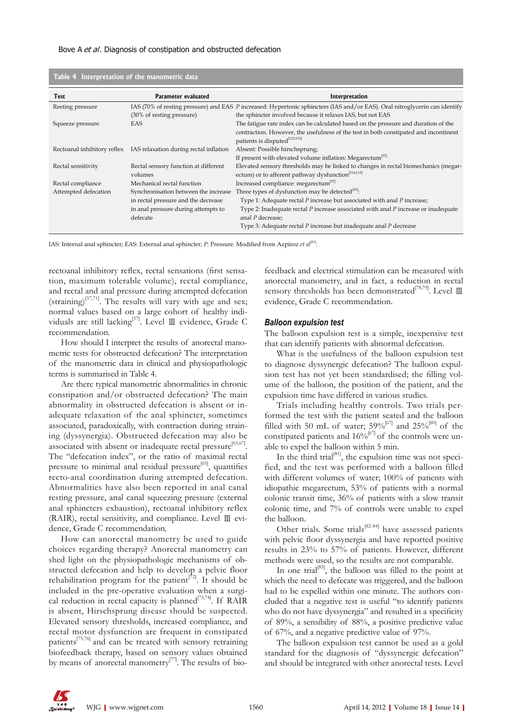| Table 4 Interpretation of the manometric data |                                        |                                                                                                                                   |  |
|-----------------------------------------------|----------------------------------------|-----------------------------------------------------------------------------------------------------------------------------------|--|
| Test                                          | Parameter evaluated                    | Interpretation                                                                                                                    |  |
| Resting pressure                              |                                        | IAS (70% of resting pressure) and EAS P increased: Hypertonic sphincters (IAS and/or EAS). Oral nitroglycerin can identify        |  |
|                                               | (30% of resting pressure)              | the sphincter involved because it relaxes IAS, but not EAS                                                                        |  |
| Squeeze pressure                              | EAS                                    | The fatigue rate index can be calculated based on the pressure and duration of the                                                |  |
|                                               |                                        | contraction. However, the usefulness of the test in both constipated and incontinent<br>patients is disputed <sup>[112,113]</sup> |  |
| Rectoanal inhibitory reflex                   | IAS relaxation during rectal inflation | Absent: Possible hirschsprung;                                                                                                    |  |
|                                               |                                        | If present with elevated volume inflation: Megarectum <sup>[57]</sup>                                                             |  |
| Rectal sensitivity                            | Rectal sensory function at different   | Elevated sensory thresholds may be linked to changes in rectal biomechanics (megar-                                               |  |
|                                               | volumes                                | ectum) or to afferent pathway dysfunction <sup>[114,115]</sup>                                                                    |  |
| Rectal compliance                             | Mechanical rectal function             | Increased compliance: megarectum <sup>[57]</sup>                                                                                  |  |
| Attempted defecation                          | Synchronisation between the increase   | Three types of dysfunction may be detected <sup>[65]</sup> :                                                                      |  |
|                                               | in rectal pressure and the decrease    | Type 1: Adequate rectal P increase but associated with anal P increase;                                                           |  |
|                                               | in anal pressure during attempts to    | Type 2: Inadequate rectal $P$ increase associated with anal $P$ increase or inadequate                                            |  |
|                                               | defecate                               | anal P decrease;                                                                                                                  |  |
|                                               |                                        | Type 3: Adequate rectal P increase but inadequate anal P decrease                                                                 |  |
|                                               |                                        |                                                                                                                                   |  |

IAS: Internal anal sphincter; EAS: External anal sphincter; *P*: Pressure. Modified from Azpiroz *et al*[57] .

rectoanal inhibitory reflex, rectal sensations (first sensation, maximum tolerable volume), rectal compliance, and rectal and anal pressure during attempted defecation (straining)<sup>[57,71]</sup>. The results will vary with age and sex; normal values based on a large cohort of healthy individuals are still lacking[57]. Level Ⅲ evidence, Grade C recommendation*.*

How should I interpret the results of anorectal manometric tests for obstructed defecation? The interpretation of the manometric data in clinical and physiopathologic terms is summarised in Table 4.

Are there typical manometric abnormalities in chronic constipation and/or obstructed defecation? The main abnormality in obstructed defecation is absent or inadequate relaxation of the anal sphincter, sometimes associated, paradoxically, with contraction during straining (dyssynergia). Obstructed defecation may also be associated with absent or inadequate rectal pressure<sup>[65,67]</sup>. The "defecation index", or the ratio of maximal rectal pressure to minimal anal residual pressure $[65]$ , quantifies recto-anal coordination during attempted defecation. Abnormalities have also been reported in anal canal resting pressure, anal canal squeezing pressure (external anal sphincters exhaustion), rectoanal inhibitory reflex (RAIR), rectal sensitivity, and compliance. Level Ⅲ evidence, Grade C recommendation*.*

How can anorectal manometry be used to guide choices regarding therapy? Anorectal manometry can shed light on the physiopathologic mechanisms of obstructed defecation and help to develop a pelvic floor rehabilitation program for the patient<sup>[72]</sup>. It should be included in the pre-operative evaluation when a surgical reduction in rectal capacity is planned<sup>[73,74]</sup>. If RAIR is absent, Hirschsprung disease should be suspected. Elevated sensory thresholds, increased compliance, and rectal motor dysfunction are frequent in constipated patients $\lim_{t \to \infty}$  and can be treated with sensory retraining biofeedback therapy, based on sensory values obtained by means of anorectal manometry<sup>[77]</sup>. The results of biofeedback and electrical stimulation can be measured with anorectal manometry, and in fact, a reduction in rectal sensory thresholds has been demonstrated<sup>[78,79]</sup>. Level  $\rm I\!I\!I$ evidence, Grade C recommendation.

#### *Balloon expulsion test*

The balloon expulsion test is a simple, inexpensive test that can identify patients with abnormal defecation.

What is the usefulness of the balloon expulsion test to diagnose dyssynergic defecation? The balloon expulsion test has not yet been standardised; the filling volume of the balloon, the position of the patient, and the expulsion time have differed in various studies.

Trials including healthy controls. Two trials performed the test with the patient seated and the balloon filled with 50 mL of water;  $59\%^{[67]}$  and  $25\%^{[80]}$  of the constipated patients and  $16\%^{[67]}$  of the controls were unable to expel the balloon within 5 min.

In the third trial $[81]$ , the expulsion time was not specified, and the test was performed with a balloon filled with different volumes of water; 100% of patients with idiopathic megarectum, 53% of patients with a normal colonic transit time, 36% of patients with a slow transit colonic time, and 7% of controls were unable to expel the balloon.

Other trials. Some trials<sup>[82-84]</sup> have assessed patients with pelvic floor dyssynergia and have reported positive results in 23% to 57% of patients. However, different methods were used, so the results are not comparable.

In one trial<sup>[85]</sup>, the balloon was filled to the point at which the need to defecate was triggered, and the balloon had to be expelled within one minute. The authors concluded that a negative test is useful "to identify patients who do not have dyssynergia" and resulted in a specificity of 89%, a sensibility of 88%, a positive predictive value of 67%, and a negative predictive value of 97%.

The balloon expulsion test cannot be used as a gold standard for the diagnosis of "dyssynergic defecation" and should be integrated with other anorectal tests. Level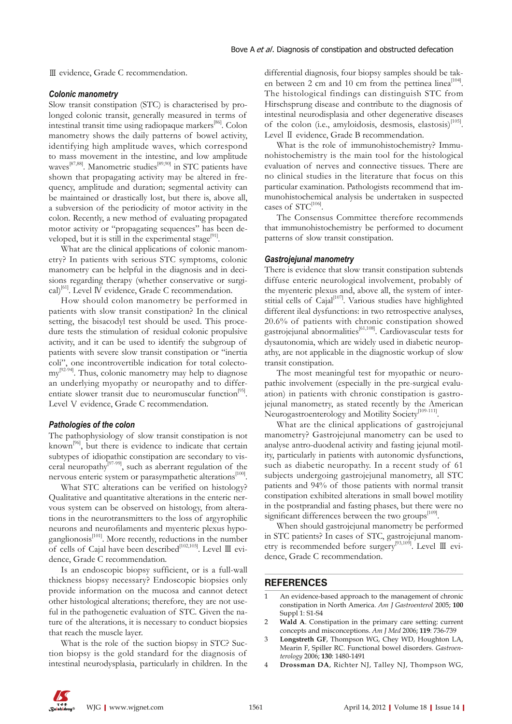Ⅲ evidence, Grade C recommendation.

#### *Colonic manometry*

Slow transit constipation (STC) is characterised by prolonged colonic transit, generally measured in terms of intestinal transit time using radiopaque markers<sup>[86]</sup>. Colon manometry shows the daily patterns of bowel activity, identifying high amplitude waves, which correspond to mass movement in the intestine, and low amplitude waves<sup>[87,88]</sup>. Manometric studies<sup>[89,90]</sup> in STC patients have shown that propagating activity may be altered in frequency, amplitude and duration; segmental activity can be maintained or drastically lost, but there is, above all, a subversion of the periodicity of motor activity in the colon. Recently, a new method of evaluating propagated motor activity or "propagating sequences" has been developed, but it is still in the experimental stage<sup>[91]</sup>.

What are the clinical applications of colonic manometry? In patients with serious STC symptoms, colonic manometry can be helpful in the diagnosis and in decisions regarding therapy (whether conservative or surgical)<sup>[61]</sup>. Level IV evidence, Grade C recommendation.

How should colon manometry be performed in patients with slow transit constipation? In the clinical setting, the bisacodyl test should be used. This procedure tests the stimulation of residual colonic propulsive activity, and it can be used to identify the subgroup of patients with severe slow transit constipation or "inertia coli", one incontrovertible indication for total colectomy<sup>[92-94]</sup>. Thus, colonic manometry may help to diagnose an underlying myopathy or neuropathy and to differentiate slower transit due to neuromuscular function<sup>[95]</sup>. Level V evidence, Grade C recommendation.

#### *Pathologies of the colon*

The pathophysiology of slow transit constipation is not known<sup>[96]</sup>, but there is evidence to indicate that certain subtypes of idiopathic constipation are secondary to visceral neuropathy<sup>[97-99]</sup>, such as aberrant regulation of the nervous enteric system or parasympathetic alterations<sup>[100]</sup>.

What STC alterations can be verified on histology? Qualitative and quantitative alterations in the enteric nervous system can be observed on histology, from alterations in the neurotransmitters to the loss of argyrophilic neurons and neurofilaments and myenteric plexus hypoganglionosis<sup>[101]</sup>. More recently, reductions in the number of cells of Cajal have been described<sup>[102,103]</sup>. Level Ⅲ evidence, Grade C recommendation*.* 

Is an endoscopic biopsy sufficient, or is a full-wall thickness biopsy necessary? Endoscopic biopsies only provide information on the mucosa and cannot detect other histological alterations; therefore, they are not useful in the pathogenetic evaluation of STC. Given the nature of the alterations, it is necessary to conduct biopsies that reach the muscle layer.

What is the role of the suction biopsy in STC? Suction biopsy is the gold standard for the diagnosis of intestinal neurodysplasia, particularly in children. In the

differential diagnosis, four biopsy samples should be taken between 2 cm and 10 cm from the pettinea linea<sup>[104]</sup>. The histological findings can distinguish STC from Hirschsprung disease and contribute to the diagnosis of intestinal neurodisplasia and other degenerative diseases of the colon (i.e., amyloidosis, desmosis, elastosis)<sup>[105]</sup>. Level Ⅱ evidence, Grade B recommendation.

What is the role of immunohistochemistry? Immunohistochemistry is the main tool for the histological evaluation of nerves and connective tissues. There are no clinical studies in the literature that focus on this particular examination. Pathologists recommend that immunohistochemical analysis be undertaken in suspected cases of  $STC^{[106]}$ .

The Consensus Committee therefore recommends that immunohistochemistry be performed to document patterns of slow transit constipation.

#### *Gastrojejunal manometry*

There is evidence that slow transit constipation subtends diffuse enteric neurological involvement, probably of the myenteric plexus and, above all, the system of interstitial cells of Cajal<sup>[107]</sup>. Various studies have highlighted different ileal dysfunctions: in two retrospective analyses, 20.6% of patients with chronic constipation showed gastrojejunal abnormalities<sup>[61,108]</sup>. Cardiovascular tests for dysautonomia, which are widely used in diabetic neuropathy, are not applicable in the diagnostic workup of slow transit constipation.

The most meaningful test for myopathic or neuropathic involvement (especially in the pre-surgical evaluation) in patients with chronic constipation is gastrojejunal manometry, as stated recently by the American Neurogastroenterology and Motility Society<sup>[109-111]</sup>.

What are the clinical applications of gastrojejunal manometry? Gastrojejunal manometry can be used to analyse antro-duodenal activity and fasting jejunal motility, particularly in patients with autonomic dysfunctions, such as diabetic neuropathy. In a recent study of 61 subjects undergoing gastrojejunal manometry, all STC patients and 94% of those patients with normal transit constipation exhibited alterations in small bowel motility in the postprandial and fasting phases, but there were no significant differences between the two groups<sup>[109]</sup>.

When should gastrojejunal manometry be performed in STC patients? In cases of STC, gastrojejunal manometry is recommended before surgery[93,109]. Level Ⅲ evidence, Grade C recommendation.

#### **REFERENCES**

- 1 An evidence-based approach to the management of chronic constipation in North America. *Am J Gastroenterol* 2005; **100**  Suppl 1: S1-S4
- 2 **Wald A**. Constipation in the primary care setting: current concepts and misconceptions. *Am J Med* 2006; **119**: 736-739
- 3 **Longstreth GF**, Thompson WG, Chey WD, Houghton LA, Mearin F, Spiller RC. Functional bowel disorders. *Gastroenterology* 2006; **130**: 1480-1491
- 4 **Drossman DA**, Richter NJ, Talley NJ, Thompson WG,

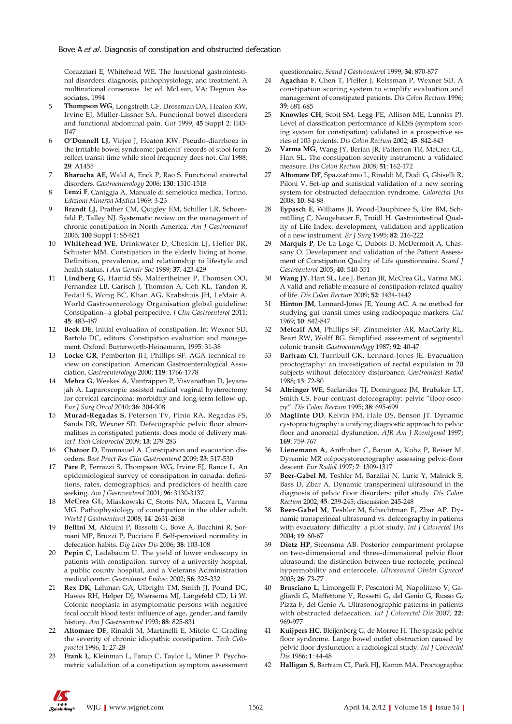Corazziari E, Whitehead WE. The functional gastrointestinal disorders: diagnosis, pathophysiology, and treatment. A multinational consensus. 1st ed. McLean, VA: Degnon Associates, 1994

- 5 **Thompson WG**, Longstreth GF, Drossman DA, Heaton KW, Irvine EJ, Müller-Lissner SA. Functional bowel disorders and functional abdominal pain. *Gut* 1999; **45** Suppl 2: II43- II47
- 6 **O'Donnell LJ**, Virjee J, Heaton KW. Pseudo-diarrhoea in the irritable bowel syndrome: patients' records of stool form reflect transit time while stool frequency does not. *Gut* 1988; **29**: A1455
- 7 **Bharucha AE**, Wald A, Enck P, Rao S. Functional anorectal disorders. *Gastroenterology* 2006; **130**: 1510-1518
- 8 **Lenzi F**, Caniggia A. Manuale di semeiotica medica. Torino. *Edizioni Minerva Medica* 1969: 3-23
- 9 **Brandt LJ**, Prather CM, Quigley EM, Schiller LR, Schoenfeld P, Talley NJ. Systematic review on the management of chronic constipation in North America. *Am J Gastroenterol* 2005; **100** Suppl 1: S5-S21
- 10 **Whitehead WE**, Drinkwater D, Cheskin LJ, Heller BR, Schuster MM. Constipation in the elderly living at home. Definition, prevalence, and relationship to lifestyle and health status. *J Am Geriatr Soc* 1989; **37**: 423-429
- 11 **Lindberg G**, Hamid SS, Malfertheiner P, Thomsen OO, Fernandez LB, Garisch J, Thomson A, Goh KL, Tandon R, Fedail S, Wong BC, Khan AG, Krabshuis JH, LeMair A. World Gastroenterology Organisation global guideline: Constipation--a global perspective. *J Clin Gastroenterol* 2011; **45**: 483-487
- 12 **Beck DE**. Initial evaluation of constipation. In: Wexner SD, Bartolo DC, editors. Constipation evaluation and management. Oxford: Butterworth-Heinemann, 1995: 31-38
- 13 **Locke GR**, Pemberton JH, Phillips SF. AGA technical review on constipation. American Gastroenterological Association. *Gastroenterology* 2000; **119**: 1766-1778
- 14 **Mehra G**, Weekes A, Vantrappen P, Visvanathan D, Jeyarajah A. Laparoscopic assisted radical vaginal hysterectomy for cervical carcinoma: morbidity and long-term follow-up. *Eur J Surg Oncol* 2010; **36**: 304-308
- 15 **Murad-Regadas S**, Peterson TV, Pinto RA, Regadas FS, Sands DR, Wexner SD. Defecographic pelvic floor abnormalities in constipated patients: does mode of delivery matter? *Tech Coloproctol* 2009; **13**: 279-283
- 16 **Chatoor D**, Emmnauel A. Constipation and evacuation disorders. *Best Pract Res Clin Gastroenterol* 2009; **23**: 517-530
- 17 **Pare P**, Ferrazzi S, Thompson WG, Irvine EJ, Rance L. An epidemiological survey of constipation in canada: definitions, rates, demographics, and predictors of health care seeking. *Am J Gastroenterol* 2001; **96**: 3130-3137
- 18 **McCrea GL**, Miaskowski C, Stotts NA, Macera L, Varma MG. Pathophysiology of constipation in the older adult. *World J Gastroenterol* 2008; **14**: 2631-2638
- 19 **Bellini M**, Alduini P, Bassotti G, Bove A, Bocchini R, Sormani MP, Bruzzi P, Pucciani F. Self-perceived normality in defecation habits. *Dig Liver Dis* 2006; **38**: 103-108
- 20 **Pepin C**, Ladabaum U. The yield of lower endoscopy in patients with constipation: survey of a university hospital, a public county hospital, and a Veterans Administration medical center. *Gastrointest Endosc* 2002; **56**: 325-332
- 21 **Rex DK**, Lehman GA, Ulbright TM, Smith JJ, Pound DC, Hawes RH, Helper DJ, Wiersema MJ, Langefeld CD, Li W. Colonic neoplasia in asymptomatic persons with negative fecal occult blood tests: influence of age, gender, and family history. *Am J Gastroenterol* 1993; **88**: 825-831
- 22 **Altomare DF**, Rinaldi M, Martinelli E, Mitolo C. Grading the severity of chronic idiopathic constipation. *Tech Coloproctol* 1996; **1**: 27-28
- 23 **Frank L**, Kleinman L, Farup C, Taylor L, Miner P. Psychometric validation of a constipation symptom assessment

questionnaire. *Scand J Gastroenterol* 1999; **34**: 870-877

- 24 **Agachan F**, Chen T, Pfeifer J, Reissman P, Wexner SD. A constipation scoring system to simplify evaluation and management of constipated patients. *Dis Colon Rectum* 1996; **39**: 681-685
- 25 **Knowles CH**, Scott SM, Legg PE, Allison ME, Lunniss PJ. Level of classification performance of KESS (symptom scoring system for constipation) validated in a prospective series of 105 patients. *Dis Colon Rectum* 2002; **45**: 842-843
- Varma MG, Wang JY, Berian JR, Patterson TR, McCrea GL, Hart SL. The constipation severity instrument: a validated measure. *Dis Colon Rectum* 2008; **51**: 162-172
- 27 **Altomare DF**, Spazzafumo L, Rinaldi M, Dodi G, Ghiselli R, Piloni V. Set-up and statistical validation of a new scoring system for obstructed defaecation syndrome. *Colorectal Dis* 2008; **10**: 84-88
- Eypasch E, Williams JI, Wood-Dauphinee S, Ure BM, Schmülling C, Neugebauer E, Troidl H. Gastrointestinal Quality of Life Index: development, validation and application of a new instrument. *Br J Surg* 1995; **82**: 216-222
- 29 **Marquis P**, De La Loge C, Dubois D, McDermott A, Chassany O. Development and validation of the Patient Assessment of Constipation Quality of Life questionnaire. *Scand J Gastroenterol* 2005; **40**: 540-551
- 30 **Wang JY**, Hart SL, Lee J, Berian JR, McCrea GL, Varma MG. A valid and reliable measure of constipation-related quality of life. *Dis Colon Rectum* 2009; **52**: 1434-1442
- Hinton JM, Lennard-Jones JE, Young AC. A ne method for studying gut transit times using radioopaque markers. *Gut* 1969; **10**: 842-847
- 32 **Metcalf AM**, Phillips SF, Zinsmeister AR, MacCarty RL, Beart RW, Wolff BG. Simplified assessment of segmental colonic transit. *Gastroenterology* 1987; **92**: 40-47
- 33 **Bartram CI**, Turnbull GK, Lennard-Jones JE. Evacuation proctography: an investigation of rectal expulsion in 20 subjects without defecatory disturbance. *Gastrointest Radiol* 1988; **13**: 72-80
- 34 **Altringer WE**, Saclarides TJ, Dominguez JM, Brubaker LT, Smith CS. Four-contrast defecography: pelvic "floor-oscopy". *Dis Colon Rectum* 1995; **38**: 695-699
- 35 **Maglinte DD**, Kelvin FM, Hale DS, Benson JT. Dynamic cystoproctography: a unifying diagnostic approach to pelvic floor and anorectal dysfunction. *AJR Am J Roentgenol* 1997; **169**: 759-767
- 36 **Lienemann A**, Anthuber C, Baron A, Kohz P, Reiser M. Dynamic MR colpocystorectography assessing pelvic-floor descent. *Eur Radiol* 1997; **7**: 1309-1317
- 37 **Beer-Gabel M**, Teshler M, Barzilai N, Lurie Y, Malnick S, Bass D, Zbar A. Dynamic transperineal ultrasound in the diagnosis of pelvic floor disorders: pilot study. *Dis Colon Rectum* 2002; **45**: 239-245; discussion 245-248
- 38 **Beer-Gabel M**, Teshler M, Schechtman E, Zbar AP. Dynamic transperineal ultrasound vs. defecography in patients with evacuatory difficulty: a pilot study. *Int J Colorectal Dis* 2004; **19**: 60-67
- 39 **Dietz HP**, Steensma AB. Posterior compartment prolapse on two-dimensional and three-dimensional pelvic floor ultrasound: the distinction between true rectocele, perineal hypermobility and enterocele. *Ultrasound Obstet Gynecol* 2005; **26**: 73-77
- 40 **Brusciano L**, Limongelli P, Pescatori M, Napolitano V, Gagliardi G, Maffettone V, Rossetti G, del Genio G, Russo G, Pizza F, del Genio A. Ultrasonographic patterns in patients with obstructed defaecation. *Int J Colorectal Dis* 2007; **22**: 969-977
- 41 **Kuijpers HC**, Bleijenberg G, de Morree H. The spastic pelvic floor syndrome. Large bowel outlet obstruction caused by pelvic floor dysfunction: a radiological study. *Int J Colorectal Dis* 1986; **1**: 44-48
- 42 **Halligan S**, Bartram CI, Park HJ, Kamm MA. Proctographic

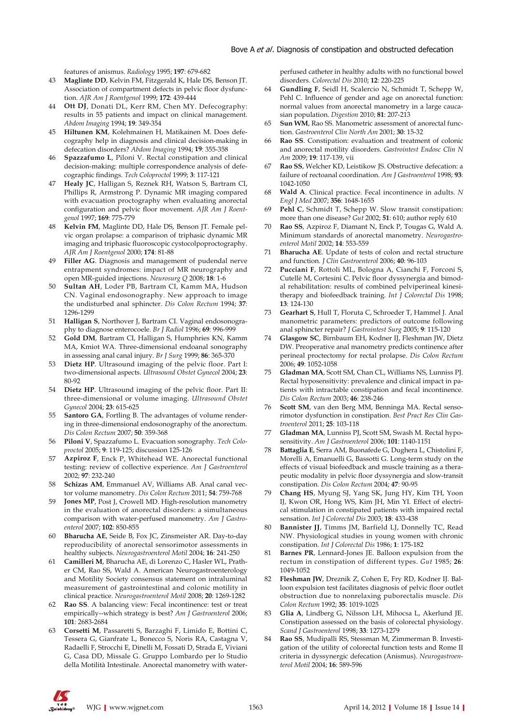features of anismus. *Radiology* 1995; **197**: 679-682

- 43 **Maglinte DD**, Kelvin FM, Fitzgerald K, Hale DS, Benson JT. Association of compartment defects in pelvic floor dysfunction. *AJR Am J Roentgenol* 1999; **172**: 439-444
- 44 **Ott DJ**, Donati DL, Kerr RM, Chen MY. Defecography: results in 55 patients and impact on clinical management. *Abdom Imaging* 1994; **19**: 349-354
- 45 **Hiltunen KM**, Kolehmainen H, Matikainen M. Does defecography help in diagnosis and clinical decision-making in defecation disorders? *Abdom Imaging* 1994; **19**: 355-358
- 46 **Spazzafumo L**, Piloni V. Rectal constipation and clinical decision-making: multiple correspondence analysis of defecographic findings. *Tech Coloproctol* 1999; **3**: 117-121
- 47 **Healy JC**, Halligan S, Reznek RH, Watson S, Bartram CI, Phillips R, Armstrong P. Dynamic MR imaging compared with evacuation proctography when evaluating anorectal configuration and pelvic floor movement. *AJR Am J Roentgenol* 1997; **169**: 775-779
- 48 **Kelvin FM**, Maglinte DD, Hale DS, Benson JT. Female pelvic organ prolapse: a comparison of triphasic dynamic MR imaging and triphasic fluoroscopic cystocolpoproctography. *AJR Am J Roentgenol* 2000; **174**: 81-88
- 49 **Filler AG**. Diagnosis and management of pudendal nerve entrapment syndromes: impact of MR neurography and open MR-guided injections. *Neurosurg Q* 2008; **18**: 1-6
- 50 **Sultan AH**, Loder PB, Bartram CI, Kamm MA, Hudson CN. Vaginal endosonography. New approach to image the undisturbed anal sphincter. *Dis Colon Rectum* 1994; **37**: 1296-1299
- 51 **Halligan S**, Northover J, Bartram CI. Vaginal endosonography to diagnose enterocoele. *Br J Radiol* 1996; **69**: 996-999
- 52 **Gold DM**, Bartram CI, Halligan S, Humphries KN, Kamm MA, Kmiot WA. Three-dimensional endoanal sonography in assessing anal canal injury. *Br J Surg* 1999; **86**: 365-370
- 53 **Dietz HP**. Ultrasound imaging of the pelvic floor. Part I: two-dimensional aspects. *Ultrasound Obstet Gynecol* 2004; **23**: 80-92
- 54 **Dietz HP**. Ultrasound imaging of the pelvic floor. Part II: three-dimensional or volume imaging. *Ultrasound Obstet Gynecol* 2004; **23**: 615-625
- 55 **Santoro GA**, Fortling B. The advantages of volume rendering in three-dimensional endosonography of the anorectum. *Dis Colon Rectum* 2007; **50**: 359-368
- 56 **Piloni V**, Spazzafumo L. Evacuation sonography. *Tech Coloproctol* 2005; **9**: 119-125; discussion 125-126
- 57 **Azpiroz F**, Enck P, Whitehead WE. Anorectal functional testing: review of collective experience. *Am J Gastroenterol* 2002; **97**: 232-240
- 58 **Schizas AM**, Emmanuel AV, Williams AB. Anal canal vector volume manometry. *Dis Colon Rectum* 2011; **54**: 759-768
- 59 **Jones MP**, Post J, Crowell MD. High-resolution manometry in the evaluation of anorectal disorders: a simultaneous comparison with water-perfused manometry. *Am J Gastroenterol* 2007; **102**: 850-855
- 60 **Bharucha AE**, Seide B, Fox JC, Zinsmeister AR. Day-to-day reproducibility of anorectal sensorimotor assessments in healthy subjects. *Neurogastroenterol Motil* 2004; **16**: 241-250
- 61 **Camilleri M**, Bharucha AE, di Lorenzo C, Hasler WL, Prather CM, Rao SS, Wald A. American Neurogastroenterology and Motility Society consensus statement on intraluminal measurement of gastrointestinal and colonic motility in clinical practice. *Neurogastroenterol Motil* 2008; **20**: 1269-1282
- 62 **Rao SS**. A balancing view: Fecal incontinence: test or treat empirically--which strategy is best? *Am J Gastroenterol* 2006; **101**: 2683-2684
- 63 **Corsetti M**, Passaretti S, Barzaghi F, Limido E, Bottini C, Tessera G, Gianfrate L, Bonecco S, Noris RA, Castagna V, Radaelli F, Strocchi E, Dinelli M, Fossati D, Strada E, Viviani G, Casa DD, Missale G. Gruppo Lombardo per lo Studio della Motilità Intestinale. Anorectal manometry with water-

perfused catheter in healthy adults with no functional bowel disorders. *Colorectal Dis* 2010; **12**: 220-225

- 64 **Gundling F**, Seidl H, Scalercio N, Schmidt T, Schepp W, Pehl C. Influence of gender and age on anorectal function: normal values from anorectal manometry in a large caucasian population. *Digestion* 2010; **81**: 207-213
- 65 **Sun WM**, Rao SS. Manometric assessment of anorectal function. *Gastroenterol Clin North Am* 2001; **30**: 15-32
- 66 **Rao SS**. Constipation: evaluation and treatment of colonic and anorectal motility disorders. *Gastrointest Endosc Clin N Am* 2009; **19**: 117-139, vii
- 67 **Rao SS**, Welcher KD, Leistikow JS. Obstructive defecation: a failure of rectoanal coordination. *Am J Gastroenterol* 1998; **93**: 1042-1050
- 68 **Wald A**. Clinical practice. Fecal incontinence in adults. *N Engl J Med* 2007; **356**: 1648-1655
- 69 **Pehl C**, Schmidt T, Schepp W. Slow transit constipation: more than one disease? *Gut* 2002; **51**: 610; author reply 610
- Rao SS, Azpiroz F, Diamant N, Enck P, Tougas G, Wald A. Minimum standards of anorectal manometry. *Neurogastroenterol Motil* 2002; **14**: 553-559
- 71 **Bharucha AE**. Update of tests of colon and rectal structure and function. *J Clin Gastroenterol* 2006; **40**: 96-103
- 72 **Pucciani F**, Rottoli ML, Bologna A, Cianchi F, Forconi S, Cutellè M, Cortesini C. Pelvic floor dyssynergia and bimodal rehabilitation: results of combined pelviperineal kinesitherapy and biofeedback training. *Int J Colorectal Dis* 1998; **13**: 124-130
- 73 **Gearhart S**, Hull T, Floruta C, Schroeder T, Hammel J. Anal manometric parameters: predictors of outcome following anal sphincter repair? *J Gastrointest Surg* 2005; **9**: 115-120
- 74 **Glasgow SC**, Birnbaum EH, Kodner IJ, Fleshman JW, Dietz DW. Preoperative anal manometry predicts continence after perineal proctectomy for rectal prolapse. *Dis Colon Rectum* 2006; **49**: 1052-1058
- 75 **Gladman MA**, Scott SM, Chan CL, Williams NS, Lunniss PJ. Rectal hyposensitivity: prevalence and clinical impact in patients with intractable constipation and fecal incontinence. *Dis Colon Rectum* 2003; **46**: 238-246
- 76 **Scott SM**, van den Berg MM, Benninga MA. Rectal sensorimotor dysfunction in constipation. *Best Pract Res Clin Gastroenterol* 2011; **25**: 103-118
- 77 **Gladman MA**, Lunniss PJ, Scott SM, Swash M. Rectal hyposensitivity. *Am J Gastroenterol* 2006; **101**: 1140-1151
- 78 **Battaglia E**, Serra AM, Buonafede G, Dughera L, Chistolini F, Morelli A, Emanuelli G, Bassotti G. Long-term study on the effects of visual biofeedback and muscle training as a therapeutic modality in pelvic floor dyssynergia and slow-transit constipation. *Dis Colon Rectum* 2004; **47**: 90-95
- 79 **Chang HS**, Myung SJ, Yang SK, Jung HY, Kim TH, Yoon IJ, Kwon OR, Hong WS, Kim JH, Min YI. Effect of electrical stimulation in constipated patients with impaired rectal sensation. *Int J Colorectal Dis* 2003; **18**: 433-438
- 80 **Bannister JJ**, Timms JM, Barfield LJ, Donnelly TC, Read NW. Physiological studies in young women with chronic constipation. *Int J Colorectal Dis* 1986; **1**: 175-182
- 81 **Barnes PR**, Lennard-Jones JE. Balloon expulsion from the rectum in constipation of different types. *Gut* 1985; **26**: 1049-1052
- 82 **Fleshman JW**, Dreznik Z, Cohen E, Fry RD, Kodner IJ. Balloon expulsion test facilitates diagnosis of pelvic floor outlet obstruction due to nonrelaxing puborectalis muscle. *Dis Colon Rectum* 1992; **35**: 1019-1025
- 83 **Glia A**, Lindberg G, Nilsson LH, Mihocsa L, Akerlund JE. Constipation assessed on the basis of colorectal physiology. *Scand J Gastroenterol* 1998; **33**: 1273-1279
- 84 **Rao SS**, Mudipalli RS, Stessman M, Zimmerman B. Investigation of the utility of colorectal function tests and Rome II criteria in dyssynergic defecation (Anismus). *Neurogastroenterol Motil* 2004; **16**: 589-596